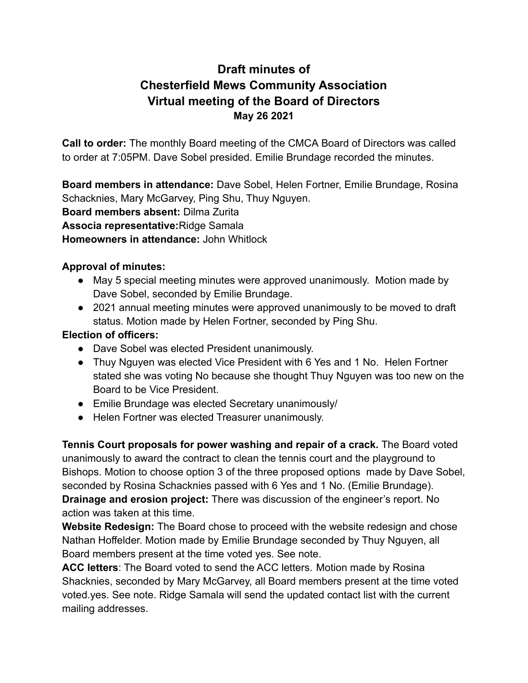## **Draft minutes of Chesterfield Mews Community Association Virtual meeting of the Board of Directors May 26 2021**

**Call to order:** The monthly Board meeting of the CMCA Board of Directors was called to order at 7:05PM. Dave Sobel presided. Emilie Brundage recorded the minutes.

**Board members in attendance:** Dave Sobel, Helen Fortner, Emilie Brundage, Rosina Schacknies, Mary McGarvey, Ping Shu, Thuy Nguyen. **Board members absent:** Dilma Zurita **Associa representative:**Ridge Samala **Homeowners in attendance:** John Whitlock

## **Approval of minutes:**

- May 5 special meeting minutes were approved unanimously. Motion made by Dave Sobel, seconded by Emilie Brundage.
- 2021 annual meeting minutes were approved unanimously to be moved to draft status. Motion made by Helen Fortner, seconded by Ping Shu.

## **Election of officers:**

- Dave Sobel was elected President unanimously.
- Thuy Nguyen was elected Vice President with 6 Yes and 1 No. Helen Fortner stated she was voting No because she thought Thuy Nguyen was too new on the Board to be Vice President.
- Emilie Brundage was elected Secretary unanimously/
- Helen Fortner was elected Treasurer unanimously.

**Tennis Court proposals for power washing and repair of a crack.** The Board voted unanimously to award the contract to clean the tennis court and the playground to Bishops. Motion to choose option 3 of the three proposed options made by Dave Sobel, seconded by Rosina Schacknies passed with 6 Yes and 1 No. (Emilie Brundage). **Drainage and erosion project:** There was discussion of the engineer's report. No action was taken at this time.

**Website Redesign:** The Board chose to proceed with the website redesign and chose Nathan Hoffelder. Motion made by Emilie Brundage seconded by Thuy Nguyen, all Board members present at the time voted yes. See note.

**ACC letters**: The Board voted to send the ACC letters. Motion made by Rosina Shacknies, seconded by Mary McGarvey, all Board members present at the time voted voted.yes. See note. Ridge Samala will send the updated contact list with the current mailing addresses.